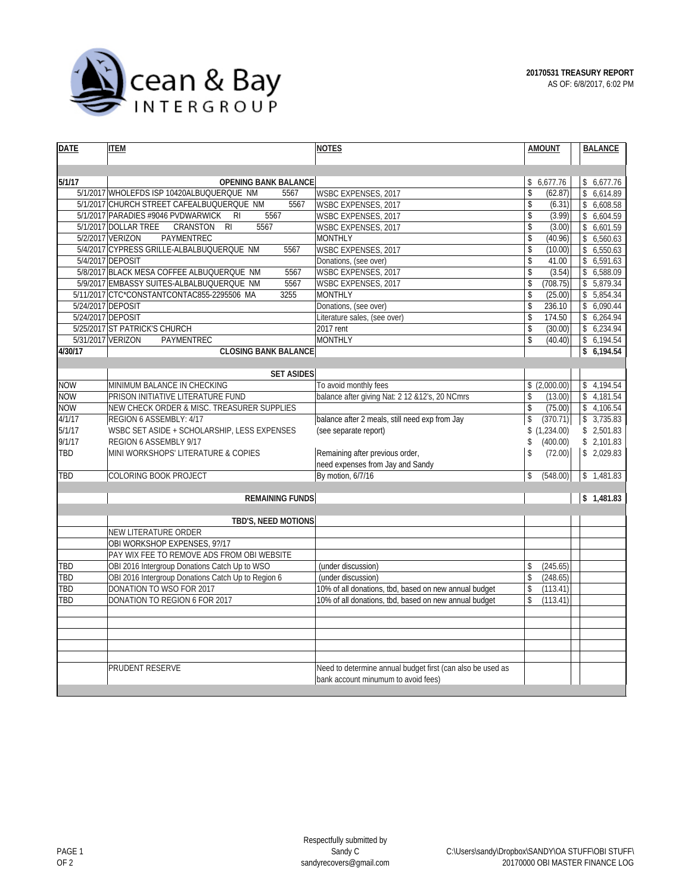

| <b>DATE</b>       | <b>ITEM</b>                                                  | <b>NOTES</b>                                               | <b>AMOUNT</b>            | <b>BALANCE</b> |
|-------------------|--------------------------------------------------------------|------------------------------------------------------------|--------------------------|----------------|
|                   |                                                              |                                                            |                          |                |
|                   |                                                              |                                                            |                          |                |
| 5/1/17            | <b>OPENING BANK BALANCE</b>                                  |                                                            | \$6,677.76               | \$6,677.76     |
|                   | 5/1/2017 WHOLEFDS ISP 10420ALBUQUERQUE NM<br>5567            | WSBC EXPENSES, 2017                                        | $\mathsf{\$}$<br>(62.87) | \$6,614.89     |
|                   | 5/1/2017 CHURCH STREET CAFEALBUQUERQUE NM<br>5567            | <b>WSBC EXPENSES, 2017</b>                                 | $\mathsf{\$}$<br>(6.31)  | \$6,608.58     |
|                   | 5/1/2017 PARADIES #9046 PVDWARWICK<br>5567<br>R <sub>l</sub> | WSBC EXPENSES, 2017                                        | \$<br>(3.99)             | \$6,604.59     |
|                   | 5/1/2017 DOLLAR TREE<br>CRANSTON<br>5567<br>RI               | WSBC EXPENSES, 2017                                        | \$<br>(3.00)             | \$6,601.59     |
|                   | 5/2/2017 VERIZON<br>PAYMENTREC                               | <b>MONTHLY</b>                                             | \$<br>(40.96)            | \$6,560.63     |
|                   | 5/4/2017 CYPRESS GRILLE-ALBALBUQUERQUE NM<br>5567            | <b>WSBC EXPENSES, 2017</b>                                 | \$<br>(10.00)            | \$6,550.63     |
|                   | 5/4/2017 DEPOSIT                                             | Donations, (see over)                                      | \$<br>41.00              | \$6,591.63     |
|                   | 5/8/2017 BLACK MESA COFFEE ALBUQUERQUE NM<br>5567            | WSBC EXPENSES, 2017                                        | \$<br>(3.54)             | \$6,588.09     |
|                   | 5/9/2017 EMBASSY SUITES-ALBALBUQUERQUE NM<br>5567            | WSBC EXPENSES, 2017                                        | \$<br>(708.75)           | \$5,879.34     |
|                   | 5/11/2017 CTC*CONSTANTCONTAC855-2295506 MA<br>3255           | <b>MONTHLY</b>                                             | \$<br>(25.00)            | \$5,854.34     |
| 5/24/2017 DEPOSIT |                                                              | Donations, (see over)                                      | \$<br>236.10             | 6,090.44       |
| 5/24/2017 DEPOSIT |                                                              | Literature sales, (see over)                               | \$<br>174.50             | \$6,264.94     |
|                   | 5/25/2017 ST PATRICK'S CHURCH                                | 2017 rent                                                  | \$<br>(30.00)            | \$6,234.94     |
| 5/31/2017 VERIZON | <b>PAYMENTREC</b>                                            | <b>MONTHLY</b>                                             | (40.40)<br>\$            | \$6,194.54     |
| 4/30/17           | <b>CLOSING BANK BALANCE</b>                                  |                                                            |                          | \$6,194.54     |
|                   |                                                              |                                                            |                          |                |
|                   | <b>SET ASIDES</b>                                            |                                                            |                          |                |
| <b>NOW</b>        | MINIMUM BALANCE IN CHECKING                                  | To avoid monthly fees                                      | \$(2,000.00)             | \$4,194.54     |
| <b>NOW</b>        | PRISON INITIATIVE LITERATURE FUND                            | balance after giving Nat: 2 12 & 12's, 20 NCmrs            | \$<br>(13.00)            | \$4,181.54     |
| <b>NOW</b>        | NEW CHECK ORDER & MISC. TREASURER SUPPLIES                   |                                                            | \$<br>(75.00)            | \$4,106.54     |
| 4/1/17            | REGION 6 ASSEMBLY: 4/17                                      | balance after 2 meals, still need exp from Jay             | \$<br>(370.71)           | \$3,735.83     |
| 5/1/17            | WSBC SET ASIDE + SCHOLARSHIP, LESS EXPENSES                  | (see separate report)                                      | \$(1,234.00)             | \$2,501.83     |
| 9/1/17            | REGION 6 ASSEMBLY 9/17                                       |                                                            | \$<br>(400.00)           | \$2,101.83     |
| TBD               | MINI WORKSHOPS' LITERATURE & COPIES                          | Remaining after previous order,                            | \$<br>(72.00)            | \$2,029.83     |
|                   |                                                              | need expenses from Jay and Sandy                           |                          |                |
| TBD               | COLORING BOOK PROJECT                                        | By motion, 6/7/16                                          | \$<br>(548.00)           | \$1,481.83     |
|                   |                                                              |                                                            |                          |                |
|                   | <b>REMAINING FUNDS</b>                                       |                                                            |                          | \$1,481.83     |
|                   | TBD'S, NEED MOTIONS                                          |                                                            |                          |                |
|                   | <b>NEW LITERATURE ORDER</b>                                  |                                                            |                          |                |
|                   | OBI WORKSHOP EXPENSES, 9?/17                                 |                                                            |                          |                |
|                   | PAY WIX FEE TO REMOVE ADS FROM OBI WEBSITE                   |                                                            |                          |                |
| TBD               | OBI 2016 Intergroup Donations Catch Up to WSO                | (under discussion)                                         | \$<br>(245.65)           |                |
| <b>TBD</b>        | OBI 2016 Intergroup Donations Catch Up to Region 6           | (under discussion)                                         | (248.65)<br>\$           |                |
| TBD               | DONATION TO WSO FOR 2017                                     | 10% of all donations, tbd, based on new annual budget      | \$<br>(113.41)           |                |
| TBD               | DONATION TO REGION 6 FOR 2017                                | 10% of all donations, tbd, based on new annual budget      | \$<br>(113.41)           |                |
|                   |                                                              |                                                            |                          |                |
|                   |                                                              |                                                            |                          |                |
|                   |                                                              |                                                            |                          |                |
|                   |                                                              |                                                            |                          |                |
|                   |                                                              |                                                            |                          |                |
|                   | PRUDENT RESERVE                                              | Need to determine annual budget first (can also be used as |                          |                |
|                   |                                                              | bank account minumum to avoid fees)                        |                          |                |
|                   |                                                              |                                                            |                          |                |